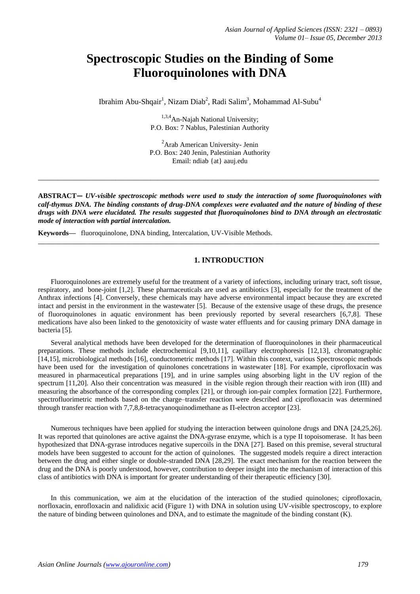# **Spectroscopic Studies on the Binding of Some Fluoroquinolones with DNA**

Ibrahim Abu-Shqair<sup>1</sup>, Nizam Diab<sup>2</sup>, Radi Salim<sup>3</sup>, Mohammad Al-Subu<sup>4</sup>

<sup>1,3,4</sup>An-Naiah National University; P.O. Box: 7 Nablus, Palestinian Authority

<sup>2</sup>Arab American University- Jenin P.O. Box: 240 Jenin, Palestinian Authority Email: ndiab [{at} aauj.edu](mailto:mmasoud@aauj.edu)

**\_\_\_\_\_\_\_\_\_\_\_\_\_\_\_\_\_\_\_\_\_\_\_\_\_\_\_\_\_\_\_\_\_\_\_\_\_\_\_\_\_\_\_\_\_\_\_\_\_\_\_\_\_\_\_\_\_\_\_\_\_\_\_\_\_\_\_\_\_\_\_\_\_\_\_\_\_\_\_\_\_\_\_\_\_\_\_\_**

**ABSTRACT—** *UV-visible spectroscopic methods were used to study the interaction of some fluoroquinolones with calf-thymus DNA. The binding constants of drug-DNA complexes were evaluated and the nature of binding of these drugs with DNA were elucidated. The results suggested that fluoroquinolones bind to DNA through an electrostatic mode of interaction with partial intercalation.*

**\_\_\_\_\_\_\_\_\_\_\_\_\_\_\_\_\_\_\_\_\_\_\_\_\_\_\_\_\_\_\_\_\_\_\_\_\_\_\_\_\_\_\_\_\_\_\_\_\_\_\_\_\_\_\_\_\_\_\_\_\_\_\_\_\_\_\_\_\_\_\_\_\_\_\_\_\_\_\_\_\_\_\_\_\_\_\_\_**

**Keywords—** fluoroquinolone, DNA binding, Intercalation, UV-Visible Methods.

# <span id="page-0-1"></span><span id="page-0-0"></span>**1. INTRODUCTION**

Fluoroquinolones are extremely useful for the treatment of a variety of infections, including urinary tract, soft tissue, respiratory, and bone-joint [1,2]. These pharmaceuticals are used as antibiotics [3], especially for the treatment of the Anthrax infections [4]. Conversely, these chemicals may have adverse environmental impact because they are excreted intact and persist in the environment in the wastewater [5]. Because of the extensive usage of these drugs, the presence of fluoroquinolones in aquatic environment has been previously reported by several researchers [6,7,8]. These medications have also been linked to the genotoxicity of waste water effluents and for causing primary DNA damage in bacteria [\[5\]](#page-0-0).

Several analytical methods have been developed for the determination of fluoroquinolones in their pharmaceutical preparations. These methods include electrochemical [9,10,11], capillary electrophoresis [12,13], chromatographic [14,15], microbiological methods [16], conductometric methods [17]. Within this context, various Spectroscopic methods have been used for the investigation of quinolones concetrations in wastewater [18]. For example, ciprofloxacin was measured in pharmaceutical preparations [19], and in urine samples using absorbing light in the UV region of the spectrum [\[11,](#page-0-1)20]. Also their concentration was measured in the visible region through their reaction with iron (III) and measuring the absorbance of the corresponding complex [21], or through ion-pair complex formation [22]. Furthermore, spectrofluorimetric methods based on the charge–transfer reaction were described and ciprofloxacin was determined through transfer reaction with 7,7,8,8-tetracyanoquinodimethane as Π-electron acceptor [23].

Numerous techniques have been applied for studying the interaction between quinolone drugs and DNA [24,25,26]. It was reported that quinolones are active against the DNA-gyrase enzyme, which is a type II topoisomerase. It has been hypothesized that DNA-gyrase introduces negative supercoils in the DNA [27]. Based on this premise, several structural models have been suggested to account for the action of quinolones. The suggested models require a direct interaction between the drug and either single or double-stranded DNA [28,29]. The exact mechanism for the reaction between the drug and the DNA is poorly understood, however, contribution to deeper insight into the mechanism of interaction of this class of antibiotics with DNA is important for greater understanding of their therapeutic efficiency [30].

In this communication, we aim at the elucidation of the interaction of the studied quinolones; ciprofloxacin, norfloxacin, enrofloxacin and nalidixic acid (Figure 1) with DNA in solution using UV-visible spectroscopy, to explore the nature of binding between quinolones and DNA, and to estimate the magnitude of the binding constant (K).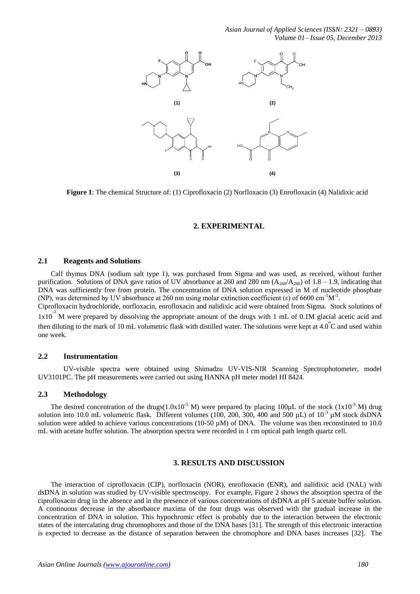*Asian Journal of Applied Sciences (ISSN: 2321 – 0893) Volume 01– Issue 05, December 2013*



**Figure 1**: The chemical Structure of: (1) Ciprofloxacin (2) Norfloxacin (3) Enrofloxacin (4) Nalidixic acid

# **2. EXPERIMENTAL**

## **2.1 Reagents and Solutions**

Calf thymus DNA (sodium salt type 1), was purchased from Sigma and was used, as received, without further purification. Solutions of DNA gave ratios of UV absorbance at 260 and 280 nm  $(A_{260}/A_{280})$  of 1.8 – 1.9, indicating that DNA was sufficiently free from protein. The concentration of DNA solution expressed in M of nucleotide phosphate (NP), was determined by UV absorbance at 260 nm using molar extinction coefficient (ε) of 6600 cm<sup>-1</sup>M<sup>-1</sup>.

Ciprofloxacin hydrochloride, norfloxacin, enrofloxacin and nalidixic acid were obtained from Sigma. Stock solutions of  $1x10^{-3}$  M were prepared by dissolving the appropriate amount of the drugs with 1 mL of 0.1M glacial acetic acid and then diluting to the mark of 10 mL volumetric flask with distilled water. The solutions were kept at  $4.0^{\circ}$ C and used within one week.

#### **2.2 Instrumentation**

UV-visible spectra were obtained using Shimadzu UV-VIS-NIR Scanning Spectrophotometer, model UV3101PC. The pH measurements were carried out using HANNA pH meter model HI 8424.

#### **2.3 Methodology**

The desired concentration of the drugs( $1.0x10^{-5}$  M) were prepared by placing 100 $\mu$ L of the stock ( $1x10^{-3}$  M) drug solution into 10.0 mL volumetric flask. Different volumes (100, 200, 300, 400 and 500  $\mu$ L) of 10<sup>-3</sup>  $\mu$ M stock dsDNA solution were added to achieve various concentrations (10-50 µM) of DNA. The volume was then reconstituted to 10.0 mL with acetate buffer solution. The absorption spectra were recorded in 1 cm optical path length quartz cell.

#### **3. RESULTS AND DISCUSSION**

The interaction of ciprofloxacin (CIP), norfloxacin (NOR), enrofloxacin (ENR), and nalidixic acid (NAL) with dsDNA in solution was studied by UV-visible spectroscopy. For example, Figure 2 shows the absorption spectra of the ciprofloxacin drug in the absence and in the presence of various concentrations of dsDNA at pH 5 acetate buffer solution. A continuous decrease in the absorbance maxima of the four drugs was observed with the gradual increase in the concentration of DNA in solution. This hypochromic effect is probably due to the interaction between the electronic states of the intercalating drug chromophores and those of the DNA bases [31]. The strength of this electronic interaction is expected to decrease as the distance of separation between the chromophore and DNA bases increases [32]. The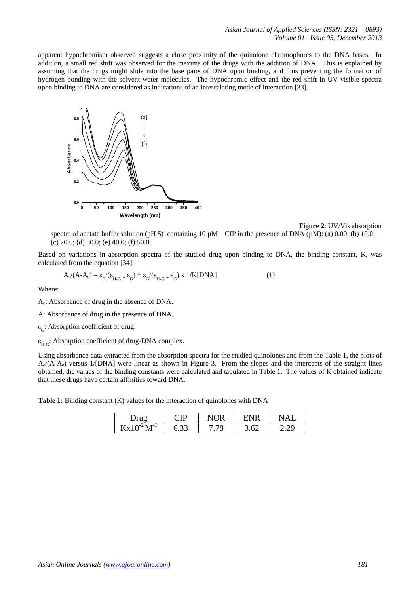apparent hypochromism observed suggests a close proximity of the quinolone chromophores to the DNA bases. In addition, a small red shift was observed for the maxima of the drugs with the addition of DNA. This is explained by assuming that the drugs might slide into the base pairs of DNA upon binding, and thus preventing the formation of hydrogen bonding with the solvent water molecules. The hypochromic effect and the red shift in UV-visible spectra upon binding to DNA are considered as indications of an intercalating mode of interaction [33].



**Figure 2**: UV/Vis absorption

spectra of acetate buffer solution (pH 5) containing  $10 \mu M$  CIP in the presence of DNA ( $\mu$ M): (a) 0.00; (b) 10.0; (c) 20.0; (d) 30.0; (e) 40.0; (f) 50.0.

Based on variations in absorption spectra of the studied drug upon binding to DNA, the binding constant, K, was calculated from the equation [34]:

$$
A_0/(A-A_0) = \varepsilon_G/(\varepsilon_{H-G} - \varepsilon_G) + \varepsilon_G/(\varepsilon_{H-G} - \varepsilon_G) \times 1/K[DNA]
$$
 (1)

Where:

A<sub>o</sub>: Absorbance of drug in the absence of DNA.

A: Absorbance of drug in the presence of DNA.

ε G : Absorption coefficient of drug.

ε H-G : Absorption coefficient of drug-DNA complex.

Using absorbance data extracted from the absorption spectra for the studied quinolones and from the Table 1, the plots of  $A_{\nu}(A-A_{\nu})$  versus 1/[DNA] were linear as shown in Figure 3. From the slopes and the intercepts of the straight lines obtained, the values of the binding constants were calculated and tabulated in Table 1. The values of K obtained indicate that these drugs have certain affinities toward DNA.

**Table 1:** Binding constant (K) values for the interaction of quinolones with DNA

|                           | ΓD   | ۱D |    |  |
|---------------------------|------|----|----|--|
| -- 1<br>$\mathbf{v}$<br>к | v.JJ | O  | К, |  |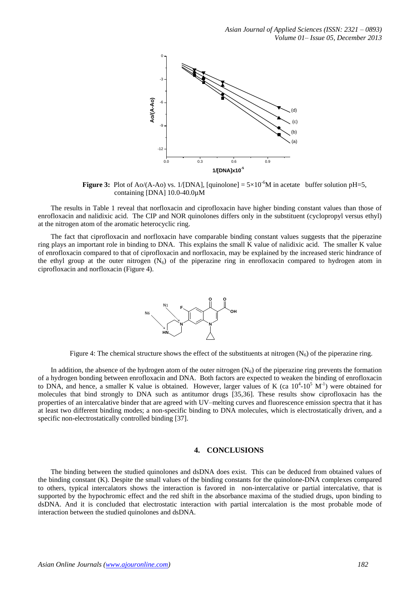

**Figure 3:** Plot of Ao/(A-Ao) vs. 1/[DNA], [quinolone]  $= 5 \times 10^{-6}$ M in acetate buffer solution pH=5, containing [DNA] 10.0-40.0µM

The results in Table 1 reveal that norfloxacin and ciprofloxacin have higher binding constant values than those of enrofloxacin and nalidixic acid. The CIP and NOR quinolones differs only in the substituent (cyclopropyl versus ethyl) at the nitrogen atom of the aromatic heterocyclic ring.

The fact that ciprofloxacin and norfloxacin have comparable binding constant values suggests that the piperazine ring plays an important role in binding to DNA. This explains the small K value of nalidixic acid. The smaller K value of enrofloxacin compared to that of ciprofloxacin and norfloxacin, may be explained by the increased steric hindrance of the ethyl group at the outer nitrogen  $(N_6)$  of the piperazine ring in enrofloxacin compared to hydrogen atom in ciprofloxacin and norfloxacin (Figure 4).



Figure 4: The chemical structure shows the effect of the substituents at nitrogen  $(N_6)$  of the piperazine ring.

In addition, the absence of the hydrogen atom of the outer nitrogen  $(N_6)$  of the piperazine ring prevents the formation of a hydrogen bonding between enrofloxacin and DNA. Both factors are expected to weaken the binding of enrofloxacin to DNA, and hence, a smaller K value is obtained. However, larger values of K (ca  $10^4$ - $10^5$  M<sup>-1</sup>) were obtained for molecules that bind strongly to DNA such as antitumor drugs [35,36]. These results show ciprofloxacin has the properties of an intercalative binder that are agreed with UV–melting curves and fluorescence emission spectra that it has at least two different binding modes; a non-specific binding to DNA molecules, which is electrostatically driven, and a specific non-electrostatically controlled binding [37].

# **4. CONCLUSIONS**

The binding between the studied quinolones and dsDNA does exist. This can be deduced from obtained values of the binding constant (K). Despite the small values of the binding constants for the quinolone-DNA complexes compared to others, typical intercalators shows the interaction is favored in non-intercalative or partial intercalative, that is supported by the hypochromic effect and the red shift in the absorbance maxima of the studied drugs, upon binding to dsDNA. And it is concluded that electrostatic interaction with partial intercalation is the most probable mode of interaction between the studied quinolones and dsDNA.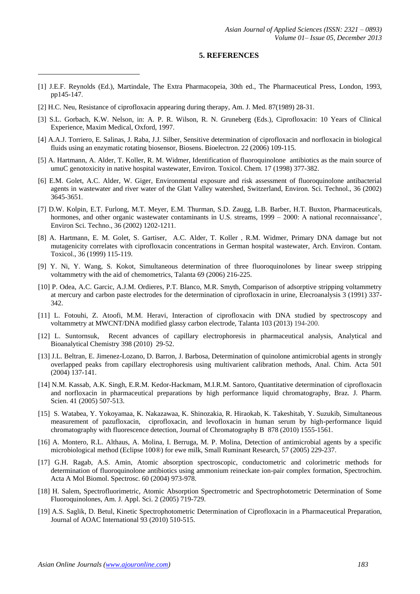#### **5. REFERENCES**

- [1] J.E.F. Reynolds (Ed.), Martindale, The Extra Pharmacopeia, 30th ed., The Pharmaceutical Press, London, 1993, pp145-147.
- [2] H.C. Neu, Resistance of ciprofloxacin appearing during therapy, Am. J. Med. 87(1989) 28-31.

**.** 

- [3] S.L. Gorbach, K.W. Nelson, in: A. P. R. Wilson, R. N. Gruneberg (Eds.), Ciprofloxacin: 10 Years of Clinical Experience, Maxim Medical, Oxford, 1997.
- [4] A.A.J. Torriero, E. Salinas, J. Raba, J.J. Silber, Sensitive determination of ciprofloxacin and norfloxacin in biological fluids using an enzymatic rotating biosensor, Biosens. Bioelectron. 22 (2006) 109-115.
- [5] A. Hartmann, A. Alder, T. Koller, R. M. Widmer, Identification of fluoroquinolone antibiotics as the main source of umuC genotoxicity in native hospital wastewater, Environ. Toxicol. Chem. 17 (1998) 377-382.
- [6] E.M. Golet, A.C. Alder, W. Giger, Environmental exposure and risk assessment of fluoroquinolone antibacterial agents in wastewater and river water of the Glatt Valley watershed, Switzerland, Environ. Sci. Technol., 36 (2002) 3645-3651.
- [7] D.W. Kolpin, E.T. Furlong, M.T. Meyer, E.M. Thurman, S.D. Zaugg, L.B. Barber, H.T. Buxton, Pharmaceuticals, hormones, and other organic wastewater contaminants in U.S. streams, 1999 – 2000: A national reconnaissance', Environ Sci. Techno., 36 (2002) 1202-1211.
- [8] A. Hartmann, E. M. Golet, S. Gartiser, A.C. Alder, T. Koller , R.M. Widmer, Primary DNA damage but not mutagenicity correlates with ciprofloxacin concentrations in German hospital wastewater, Arch. Environ. Contam. Toxicol., 36 (1999) 115-119.
- [9] Y. Ni, Y. Wang, S. Kokot, Simultaneous determination of three fluoroquinolones by linear sweep stripping voltammetry with the aid of chemometrics, Talanta 69 (2006) 216-225.
- [10] P. Odea, A.C. Garcic, A.J.M. Ordieres, P.T. Blanco, M.R. Smyth, Comparison of adsorptive stripping voltammetry at mercury and carbon paste electrodes for the determination of ciprofloxacin in urine, Elecroanalysis 3 (1991) 337- 342.
- [11] L. Fotouhi, Z. Atoofi, M.M. Heravi, Interaction of ciprofloxacin with DNA studied by spectroscopy and voltammetry at MWCNT/DNA modified glassy carbon electrode, Talanta 103 (2013) 194-200.
- [12] L. Suntornsuk, Recent advances of capillary electrophoresis in pharmaceutical analysis, Analytical and Bioanalytical Chemistry 398 (2010) 29-52.
- [13] J.L. Beltran, E. Jimenez-Lozano, D. Barron, J. Barbosa, Determination of quinolone antimicrobial agents in strongly overlapped peaks from capillary electrophoresis using multivarient calibration methods, Anal. Chim. Acta 501 (2004) 137-141.
- [14] N.M. Kassab, A.K. Singh, E.R.M. Kedor-Hackmam, M.I.R.M. Santoro, Quantitative determination of ciprofloxacin and norfloxacin in pharmaceutical preparations by high performance liquid chromatography, Braz. J. Pharm. Scien. 41 (2005) 507-513.
- [15] S. Watabea, Y. Yokoyamaa, K. Nakazawaa, K. Shinozakia, R. Hiraokab, K. Takeshitab, Y. Suzukib, Simultaneous measurement of pazufloxacin, ciprofloxacin, and levofloxacin in human serum by high-performance liquid chromatography with fluorescence detection, Journal of Chromatography B 878 (2010) 1555-1561.
- [16] A. Montero, R.L. Althaus, A. Molina, I. Berruga, M. P. Molina, Detection of antimicrobial agents by a specific microbiological method (Eclipse 100®) for ewe milk, Small Ruminant Research, 57 (2005) 229-237.
- [17] G.H. Ragab, A.S. Amin, Atomic absorption spectroscopic, conductometric and colorimetric methods for determination of fluoroquinolone antibiotics using ammonium reineckate ion-pair complex formation, Spectrochim. Acta A Mol Biomol. Spectrosc. 60 (2004) 973-978.
- [18] H. Salem, Spectrofluorimetric, Atomic Absorption Spectrometric and Spectrophotometric Determination of Some Fluoroquinolones, Am. J. Appl. Sci. 2 (2005) 719-729.
- [19] A.S. Saglik, D. Betul, Kinetic Spectrophotometric Determination of Ciprofloxacin in a Pharmaceutical Preparation, Journal of AOAC International 93 (2010) 510-515.